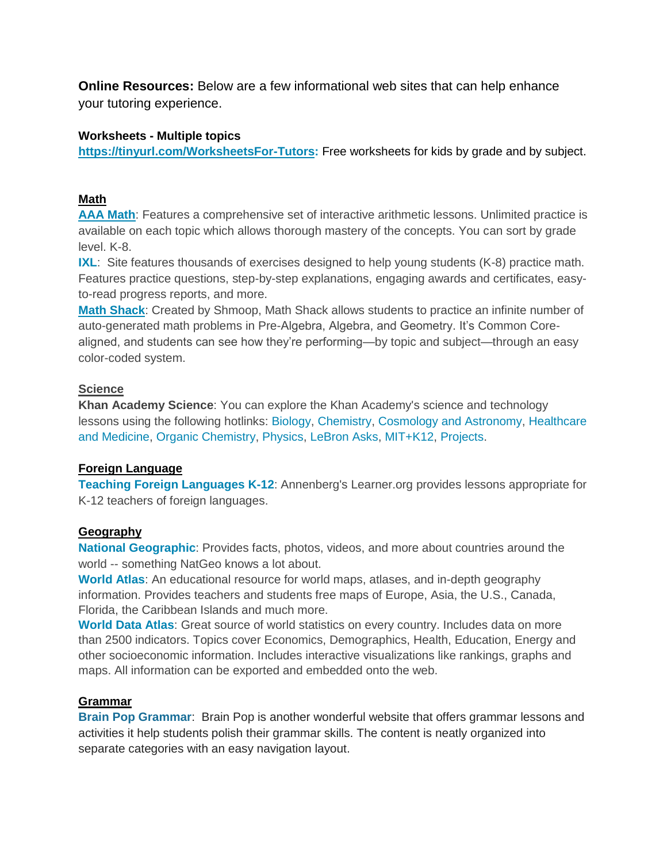**Online Resources:** Below are a few informational web sites that can help enhance your tutoring experience.

### **Worksheets - Multiple topics**

**[https://tinyurl.com/WorksheetsFor-Tutors:](https://tinyurl.com/WorksheetsFor-Tutors)** Free worksheets for kids by grade and by subject.

### **Math**

**[AAA Math](http://www.aaamath.com/)**: Features a comprehensive set of interactive arithmetic lessons. Unlimited practice is available on each topic which allows thorough mastery of the concepts. You can sort by grade level. K-8.

**[IXL](http://www.ixl.com/):** Site features thousands of exercises designed to help young students (K-8) practice math. Features practice questions, step-by-step explanations, engaging awards and certificates, easyto-read progress reports, and more.

**[Math Shack](http://www.shmoop.com/math-shack/)**: Created by Shmoop, Math Shack allows students to practice an infinite number of auto-generated math problems in Pre-Algebra, Algebra, and Geometry. It's Common Corealigned, and students can see how they're performing—by topic and subject—through an easy color-coded system.

# **Science**

**Khan Academy Science**: You can explore the Khan Academy's science and technology lessons using the following hotlinks: [Biology,](http://www.khanacademy.org/science/biology) [Chemistry,](http://www.khanacademy.org/science/chemistry) [Cosmology and Astronomy,](http://www.khanacademy.org/science/cosmology-and-astronomy) [Healthcare](http://www.khanacademy.org/science/healthcare-and-medicine)  [and Medicine,](http://www.khanacademy.org/science/healthcare-and-medicine) [Organic Chemistry,](http://www.khanacademy.org/science/organic-chemistry) [Physics,](http://www.khanacademy.org/science/physics) [LeBron Asks,](http://www.khanacademy.org/science/lebron-asks) [MIT+K12,](http://www.khanacademy.org/science/mit-k12) [Projects.](http://www.khanacademy.org/science/projects)

# **Foreign Language**

**[Teaching Foreign Languages K-12](https://www.learner.org/series/teaching-foreign-languages-k-12-a-library-of-classroom-practices/)**: Annenberg's Learner.org provides lessons appropriate for K-12 teachers of foreign languages.

### **Geography**

**[National Geographic](https://kids.nationalgeographic.com/explore/countries/)**: Provides facts, photos, videos, and more about countries around the world -- something NatGeo knows a lot about.

**[World Atlas](http://www.worldatlas.com/)**: An educational resource for world maps, atlases, and in-depth geography information. Provides teachers and students free maps of Europe, Asia, the U.S., Canada, Florida, the Caribbean Islands and much more.

**[World Data Atlas](https://knoema.com/atlas)**: Great source of world statistics on every country. Includes data on more than 2500 indicators. Topics cover Economics, Demographics, Health, Education, Energy and other socioeconomic information. Includes interactive visualizations like rankings, graphs and maps. All information can be exported and embedded onto the web.

# **Grammar**

**[Brain Pop Grammar](http://www.brainpop.com/english/grammar/)**: Brain Pop is another wonderful website that offers grammar lessons and activities it help students polish their grammar skills. The content is neatly organized into separate categories with an easy navigation layout.